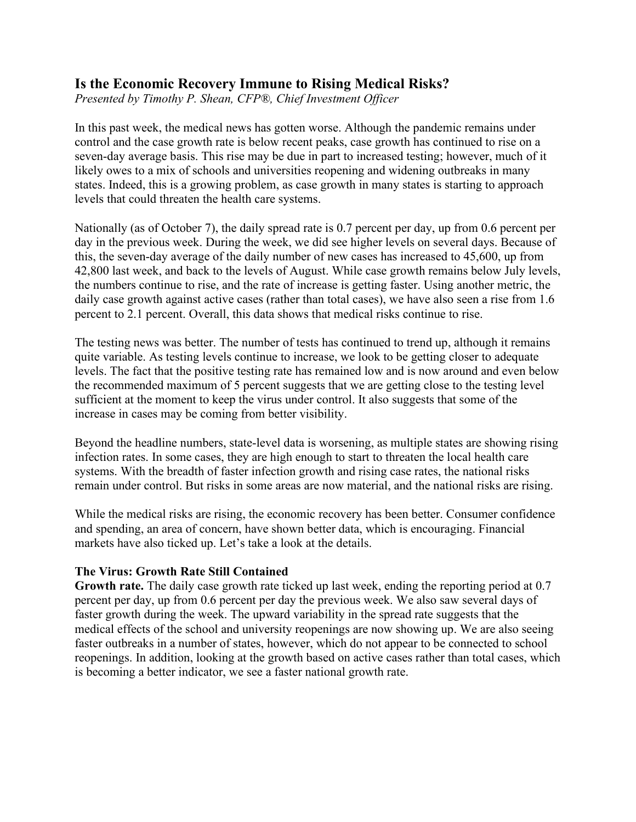# **Is the Economic Recovery Immune to Rising Medical Risks?**

*Presented by Timothy P. Shean, CFP®, Chief Investment Officer*

In this past week, the medical news has gotten worse. Although the pandemic remains under control and the case growth rate is below recent peaks, case growth has continued to rise on a seven-day average basis. This rise may be due in part to increased testing; however, much of it likely owes to a mix of schools and universities reopening and widening outbreaks in many states. Indeed, this is a growing problem, as case growth in many states is starting to approach levels that could threaten the health care systems.

Nationally (as of October 7), the daily spread rate is 0.7 percent per day, up from 0.6 percent per day in the previous week. During the week, we did see higher levels on several days. Because of this, the seven-day average of the daily number of new cases has increased to 45,600, up from 42,800 last week, and back to the levels of August. While case growth remains below July levels, the numbers continue to rise, and the rate of increase is getting faster. Using another metric, the daily case growth against active cases (rather than total cases), we have also seen a rise from 1.6 percent to 2.1 percent. Overall, this data shows that medical risks continue to rise.

The testing news was better. The number of tests has continued to trend up, although it remains quite variable. As testing levels continue to increase, we look to be getting closer to adequate levels. The fact that the positive testing rate has remained low and is now around and even below the recommended maximum of 5 percent suggests that we are getting close to the testing level sufficient at the moment to keep the virus under control. It also suggests that some of the increase in cases may be coming from better visibility.

Beyond the headline numbers, state-level data is worsening, as multiple states are showing rising infection rates. In some cases, they are high enough to start to threaten the local health care systems. With the breadth of faster infection growth and rising case rates, the national risks remain under control. But risks in some areas are now material, and the national risks are rising.

While the medical risks are rising, the economic recovery has been better. Consumer confidence and spending, an area of concern, have shown better data, which is encouraging. Financial markets have also ticked up. Let's take a look at the details.

## **The Virus: Growth Rate Still Contained**

**Growth rate.** The daily case growth rate ticked up last week, ending the reporting period at 0.7 percent per day, up from 0.6 percent per day the previous week. We also saw several days of faster growth during the week. The upward variability in the spread rate suggests that the medical effects of the school and university reopenings are now showing up. We are also seeing faster outbreaks in a number of states, however, which do not appear to be connected to school reopenings. In addition, looking at the growth based on active cases rather than total cases, which is becoming a better indicator, we see a faster national growth rate.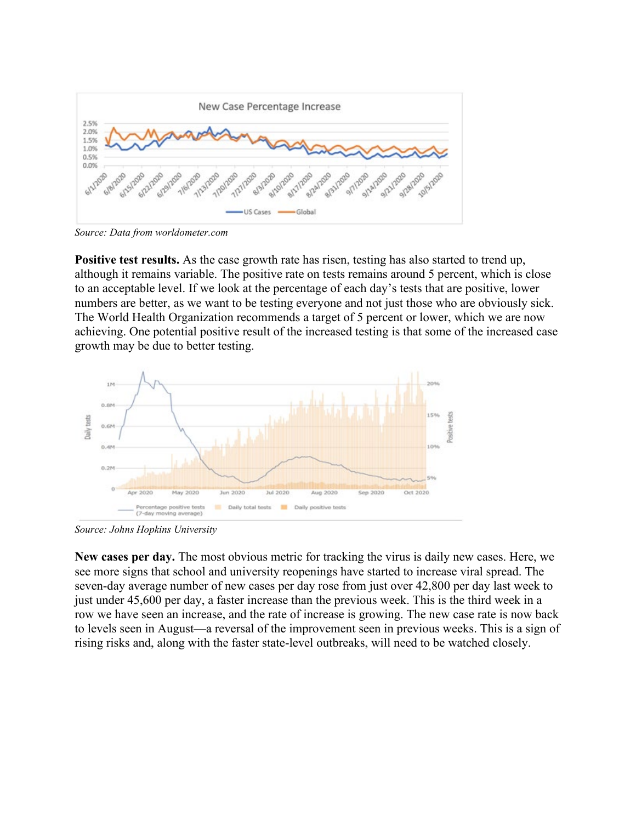

*Source: Data from [worldometer.com](https://www.worldometers.info/coronavirus/)*

**Positive test results.** As the case growth rate has risen, testing has also started to trend up, although it remains variable. The positive rate on tests remains around 5 percent, which is close to an acceptable level. If we look at the percentage of each day's tests that are positive, lower numbers are better, as we want to be testing everyone and not just those who are obviously sick. The World Health Organization recommends a target of 5 percent or lower, which we are now achieving. One potential positive result of the increased testing is that some of the increased case growth may be due to better testing.



*Source: [Johns Hopkins University](https://coronavirus.jhu.edu/testing/individual-states/usa)*

**New cases per day.** The most obvious metric for tracking the virus is daily new cases. Here, we see more signs that school and university reopenings have started to increase viral spread. The seven-day average number of new cases per day rose from just over 42,800 per day last week to just under 45,600 per day, a faster increase than the previous week. This is the third week in a row we have seen an increase, and the rate of increase is growing. The new case rate is now back to levels seen in August—a reversal of the improvement seen in previous weeks. This is a sign of rising risks and, along with the faster state-level outbreaks, will need to be watched closely.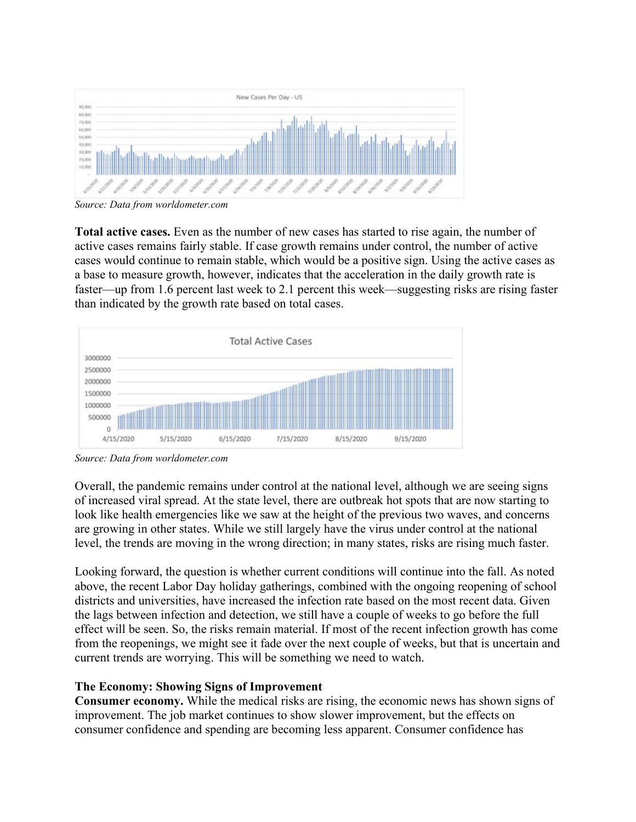

*Source: Data from [worldometer.com](https://www.worldometers.info/coronavirus/)*

**Total active cases.** Even as the number of new cases has started to rise again, the number of active cases remains fairly stable. If case growth remains under control, the number of active cases would continue to remain stable, which would be a positive sign. Using the active cases as a base to measure growth, however, indicates that the acceleration in the daily growth rate is faster—up from 1.6 percent last week to 2.1 percent this week—suggesting risks are rising faster than indicated by the growth rate based on total cases.



*Source: Data from [worldometer.com](https://www.worldometers.info/coronavirus/)*

Overall, the pandemic remains under control at the national level, although we are seeing signs of increased viral spread. At the state level, there are outbreak hot spots that are now starting to look like health emergencies like we saw at the height of the previous two waves, and concerns are growing in other states. While we still largely have the virus under control at the national level, the trends are moving in the wrong direction; in many states, risks are rising much faster.

Looking forward, the question is whether current conditions will continue into the fall. As noted above, the recent Labor Day holiday gatherings, combined with the ongoing reopening of school districts and universities, have increased the infection rate based on the most recent data. Given the lags between infection and detection, we still have a couple of weeks to go before the full effect will be seen. So, the risks remain material. If most of the recent infection growth has come from the reopenings, we might see it fade over the next couple of weeks, but that is uncertain and current trends are worrying. This will be something we need to watch.

## **The Economy: Showing Signs of Improvement**

**Consumer economy.** While the medical risks are rising, the economic news has shown signs of improvement. The job market continues to show slower improvement, but the effects on consumer confidence and spending are becoming less apparent. Consumer confidence has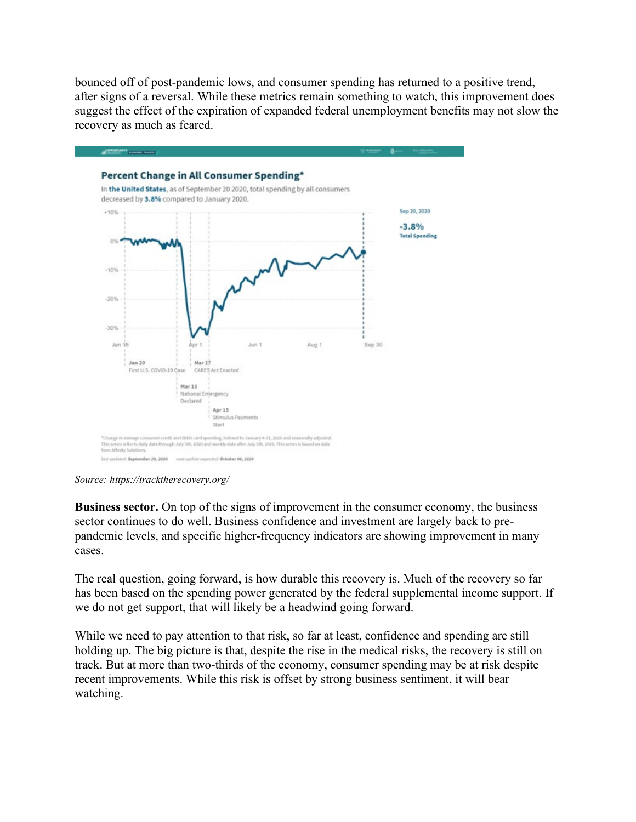bounced off of post-pandemic lows, and consumer spending has returned to a positive trend, after signs of a reversal. While these metrics remain something to watch, this improvement does suggest the effect of the expiration of expanded federal unemployment benefits may not slow the recovery as much as feared.



*Source: <https://tracktherecovery.org/>*

**Business sector.** On top of the signs of improvement in the consumer economy, the business sector continues to do well. Business confidence and investment are largely back to prepandemic levels, and specific higher-frequency indicators are showing improvement in many cases.

The real question, going forward, is how durable this recovery is. Much of the recovery so far has been based on the spending power generated by the federal supplemental income support. If we do not get support, that will likely be a headwind going forward.

While we need to pay attention to that risk, so far at least, confidence and spending are still holding up. The big picture is that, despite the rise in the medical risks, the recovery is still on track. But at more than two-thirds of the economy, consumer spending may be at risk despite recent improvements. While this risk is offset by strong business sentiment, it will bear watching.